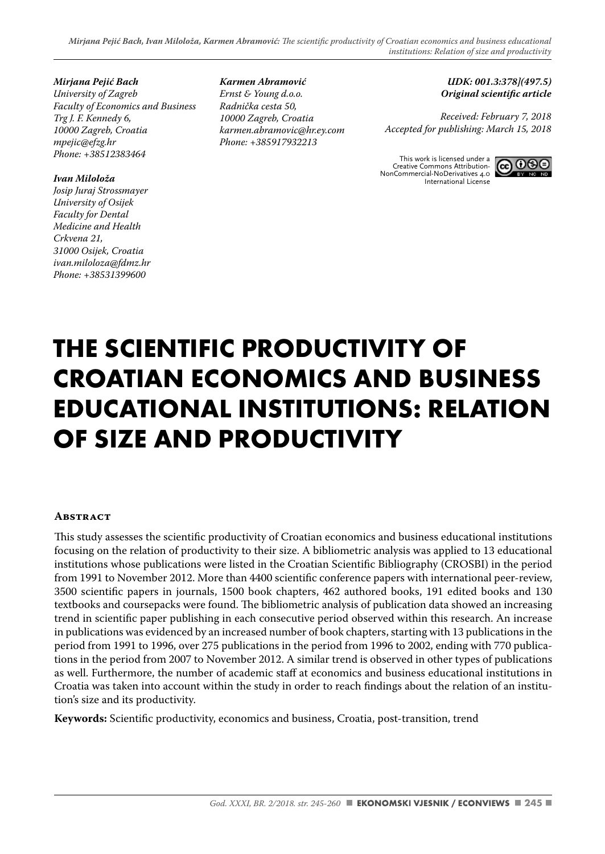*Mirjana Pejić Bach*

*University of Zagreb Faculty of Economics and Business Trg J. F. Kennedy 6, 10000 Zagreb, Croatia mpejic@efzg.hr Phone: +38512383464*

#### *Ivan Miloloža*

*Josip Juraj Strossmayer University of Osijek Faculty for Dental Medicine and Health Crkvena 21, 31000 Osijek, Croatia ivan.miloloza@fdmz.hr Phone: +38531399600*

*Karmen Abramović Ernst & Young d.o.o. Radnička cesta 50, 10000 Zagreb, Croatia karmen.abramovic@hr.ey.com Phone: +385917932213*

*UDK: 001.3:378](497.5)* **Original scientific article** 

*Received: February 7, 2018 Accepted for publishing: March 15, 2018*

This work is licensed under a Creative Commons Attribution-NonCommercial-NoDerivatives 4.0 International License



# **THE SCIENTIFIC PRODUCTIVITY OF CROATIAN ECONOMICS AND BUSINESS EDUCATIONAL INSTITUTIONS: RELATION OF SIZE AND PRODUCTIVITY**

#### **Abstract**

This study assesses the scientific productivity of Croatian economics and business educational institutions focusing on the relation of productivity to their size. A bibliometric analysis was applied to 13 educational institutions whose publications were listed in the Croatian Scientific Bibliography (CROSBI) in the period from 1991 to November 2012. More than 4400 scientific conference papers with international peer-review, 3500 scientific papers in journals, 1500 book chapters, 462 authored books, 191 edited books and 130 textbooks and coursepacks were found. The bibliometric analysis of publication data showed an increasing trend in scientific paper publishing in each consecutive period observed within this research. An increase in publications was evidenced by an increased number of book chapters, starting with 13 publications in the period from 1991 to 1996, over 275 publications in the period from 1996 to 2002, ending with 770 publications in the period from 2007 to November 2012. A similar trend is observed in other types of publications as well. Furthermore, the number of academic staff at economics and business educational institutions in Croatia was taken into account within the study in order to reach findings about the relation of an institution's size and its productivity.

Keywords: Scientific productivity, economics and business, Croatia, post-transition, trend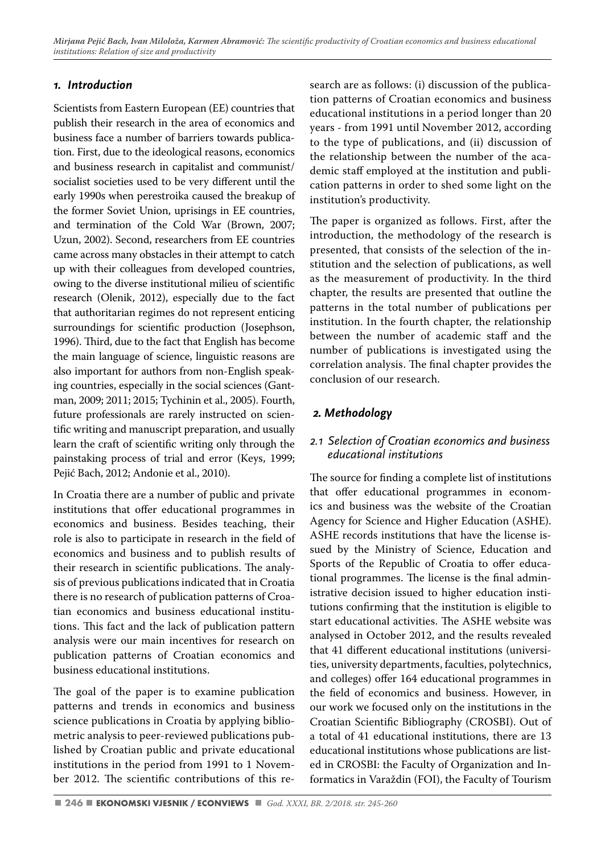*Mirjana Pejić Bach, Ivan Miloloža, Karmen Abramović:* The scientific productivity of Croatian economics and business educational *institutions: Relation of size and productivity*

#### *1. Introduction*

Scientists from Eastern European (EE) countries that publish their research in the area of economics and business face a number of barriers towards publication. First, due to the ideological reasons, economics and business research in capitalist and communist/ socialist societies used to be very different until the early 1990s when perestroika caused the breakup of the former Soviet Union, uprisings in EE countries, and termination of the Cold War (Brown, 2007; Uzun, 2002). Second, researchers from EE countries came across many obstacles in their attempt to catch up with their colleagues from developed countries, owing to the diverse institutional milieu of scientific research (Olenik, 2012), especially due to the fact that authoritarian regimes do not represent enticing surroundings for scientific production (Josephson, 1996). Third, due to the fact that English has become the main language of science, linguistic reasons are also important for authors from non-English speaking countries, especially in the social sciences (Gantman, 2009; 2011; 2015; Tychinin et al., 2005). Fourth, future professionals are rarely instructed on scientific writing and manuscript preparation, and usually learn the craft of scientific writing only through the painstaking process of trial and error (Keys, 1999; Pejić Bach, 2012; Andonie et al., 2010).

In Croatia there are a number of public and private institutions that offer educational programmes in economics and business. Besides teaching, their role is also to participate in research in the field of economics and business and to publish results of their research in scientific publications. The analysis of previous publications indicated that in Croatia there is no research of publication patterns of Croatian economics and business educational institutions. This fact and the lack of publication pattern analysis were our main incentives for research on publication patterns of Croatian economics and business educational institutions.

The goal of the paper is to examine publication patterns and trends in economics and business science publications in Croatia by applying bibliometric analysis to peer-reviewed publications published by Croatian public and private educational institutions in the period from 1991 to 1 November 2012. The scientific contributions of this research are as follows: (i) discussion of the publication patterns of Croatian economics and business educational institutions in a period longer than 20 years - from 1991 until November 2012, according to the type of publications, and (ii) discussion of the relationship between the number of the academic staff employed at the institution and publication patterns in order to shed some light on the institution's productivity.

The paper is organized as follows. First, after the introduction, the methodology of the research is presented, that consists of the selection of the institution and the selection of publications, as well as the measurement of productivity. In the third chapter, the results are presented that outline the patterns in the total number of publications per institution. In the fourth chapter, the relationship between the number of academic staff and the number of publications is investigated using the correlation analysis. The final chapter provides the conclusion of our research.

### *2. Methodology*

#### *2.1 Selection of Croatian economics and business educational institutions*

The source for finding a complete list of institutions that offer educational programmes in economics and business was the website of the Croatian Agency for Science and Higher Education (ASHE). ASHE records institutions that have the license issued by the Ministry of Science, Education and Sports of the Republic of Croatia to offer educational programmes. The license is the final administrative decision issued to higher education institutions confirming that the institution is eligible to start educational activities. The ASHE website was analysed in October 2012, and the results revealed that 41 different educational institutions (universities, university departments, faculties, polytechnics, and colleges) offer 164 educational programmes in the field of economics and business. However, in our work we focused only on the institutions in the Croatian Scientific Bibliography (CROSBI). Out of a total of 41 educational institutions, there are 13 educational institutions whose publications are listed in CROSBI: the Faculty of Organization and Informatics in Varaždin (FOI), the Faculty of Tourism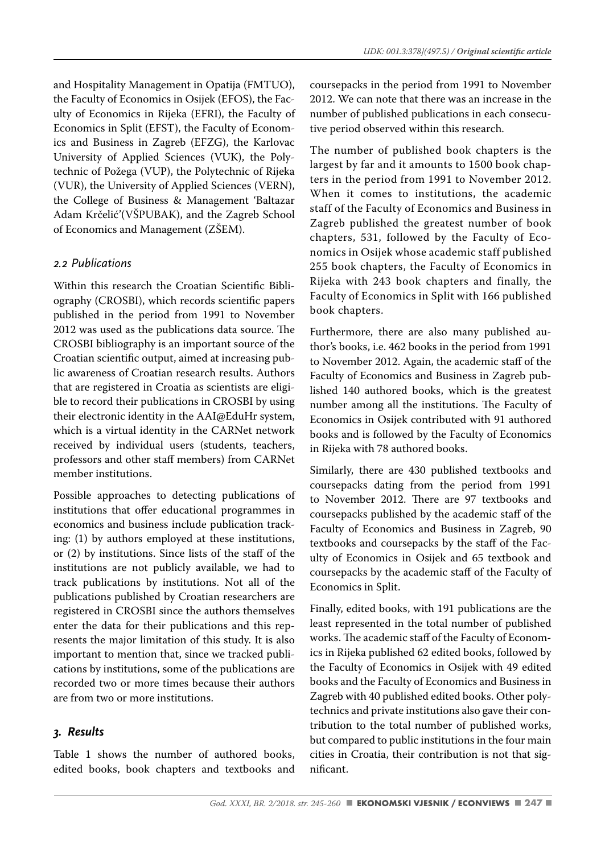and Hospitality Management in Opatija (FMTUO), the Faculty of Economics in Osijek (EFOS), the Faculty of Economics in Rijeka (EFRI), the Faculty of Economics in Split (EFST), the Faculty of Economics and Business in Zagreb (EFZG), the Karlovac University of Applied Sciences (VUK), the Polytechnic of Požega (VUP), the Polytechnic of Rijeka (VUR), the University of Applied Sciences (VERN), the College of Business & Management 'Baltazar Adam Krčelić'(VŠPUBAK), and the Zagreb School of Economics and Management (ZŠEM).

#### *2.2 Publications*

Within this research the Croatian Scientific Bibliography (CROSBI), which records scientific papers published in the period from 1991 to November 2012 was used as the publications data source. The CROSBI bibliography is an important source of the Croatian scientific output, aimed at increasing public awareness of Croatian research results. Authors that are registered in Croatia as scientists are eligible to record their publications in CROSBI by using their electronic identity in the AAI@EduHr system, which is a virtual identity in the CARNet network received by individual users (students, teachers, professors and other staff members) from CARNet member institutions.

Possible approaches to detecting publications of institutions that offer educational programmes in economics and business include publication tracking: (1) by authors employed at these institutions, or (2) by institutions. Since lists of the staff of the institutions are not publicly available, we had to track publications by institutions. Not all of the publications published by Croatian researchers are registered in CROSBI since the authors themselves enter the data for their publications and this represents the major limitation of this study. It is also important to mention that, since we tracked publications by institutions, some of the publications are recorded two or more times because their authors are from two or more institutions.

### *3. Results*

Table 1 shows the number of authored books, edited books, book chapters and textbooks and coursepacks in the period from 1991 to November 2012. We can note that there was an increase in the number of published publications in each consecutive period observed within this research.

The number of published book chapters is the largest by far and it amounts to 1500 book chapters in the period from 1991 to November 2012. When it comes to institutions, the academic staff of the Faculty of Economics and Business in Zagreb published the greatest number of book chapters, 531, followed by the Faculty of Economics in Osijek whose academic staff published 255 book chapters, the Faculty of Economics in Rijeka with 243 book chapters and finally, the Faculty of Economics in Split with 166 published book chapters.

Furthermore, there are also many published author's books, i.e. 462 books in the period from 1991 to November 2012. Again, the academic staff of the Faculty of Economics and Business in Zagreb published 140 authored books, which is the greatest number among all the institutions. The Faculty of Economics in Osijek contributed with 91 authored books and is followed by the Faculty of Economics in Rijeka with 78 authored books.

Similarly, there are 430 published textbooks and coursepacks dating from the period from 1991 to November 2012. There are 97 textbooks and coursepacks published by the academic staff of the Faculty of Economics and Business in Zagreb, 90 textbooks and coursepacks by the staff of the Faculty of Economics in Osijek and 65 textbook and coursepacks by the academic staff of the Faculty of Economics in Split.

Finally, edited books, with 191 publications are the least represented in the total number of published works. The academic staff of the Faculty of Economics in Rijeka published 62 edited books, followed by the Faculty of Economics in Osijek with 49 edited books and the Faculty of Economics and Business in Zagreb with 40 published edited books. Other polytechnics and private institutions also gave their contribution to the total number of published works, but compared to public institutions in the four main cities in Croatia, their contribution is not that significant.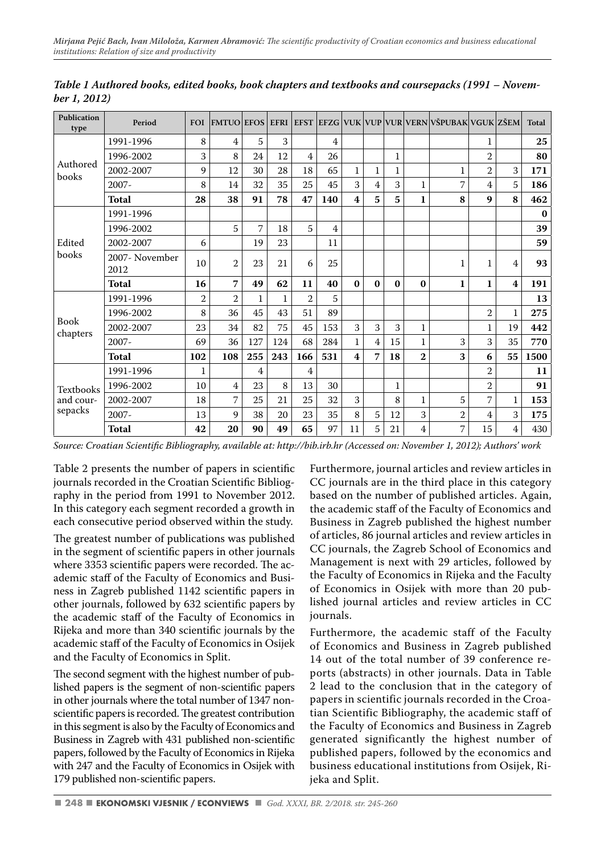| Publication<br>type     | Period                 | <b>FOI</b>     | <b>FMTUO EFOS</b> |     | <b>EFRI</b> | <b>EFST</b>    |     |                         |                |    |                | EEZG VUK VUP VUR VERN VŠPUBAK VGUK ZŠEM |                |                         | <b>Total</b> |
|-------------------------|------------------------|----------------|-------------------|-----|-------------|----------------|-----|-------------------------|----------------|----|----------------|-----------------------------------------|----------------|-------------------------|--------------|
|                         | 1991-1996              | 8              | 4                 | 5   | 3           |                | 4   |                         |                |    |                |                                         | 1              |                         | 25           |
|                         | 1996-2002              | 3              | 8                 | 24  | 12          | $\overline{4}$ | 26  |                         |                | 1  |                |                                         | $\overline{2}$ |                         | 80           |
| Authored<br>books       | 2002-2007              | 9              | 12                | 30  | 28          | 18             | 65  | $\mathbf{1}$            | 1              | 1  |                | 1                                       | $\overline{2}$ | 3                       | 171          |
|                         | $2007 -$               | 8              | 14                | 32  | 35          | 25             | 45  | 3                       | 4              | 3  | 1              | 7                                       | 4              | 5                       | 186          |
|                         | <b>Total</b>           | 28             | 38                | 91  | 78          | 47             | 140 | 4                       | 5              | 5  | 1              | 8                                       | 9              | 8                       | 462          |
|                         | 1991-1996              |                |                   |     |             |                |     |                         |                |    |                |                                         |                |                         | $\bf{0}$     |
|                         | 1996-2002              |                | 5                 | 7   | 18          | 5              | 4   |                         |                |    |                |                                         |                |                         | 39           |
| Edited                  | 2002-2007              | 6              |                   | 19  | 23          |                | 11  |                         |                |    |                |                                         |                |                         | 59           |
| books                   | 2007- November<br>2012 | 10             | $\overline{2}$    | 23  | 21          | 6              | 25  |                         |                |    |                | 1                                       | 1              | 4                       | 93           |
|                         | <b>Total</b>           | 16             | 7                 | 49  | 62          | 11             | 40  | $\bf{0}$                | $\bf{0}$       | 0  | $\bf{0}$       | $\mathbf{1}$                            | $\mathbf{1}$   | $\overline{\mathbf{4}}$ | 191          |
|                         | 1991-1996              | $\overline{2}$ | $\overline{2}$    | 1   | 1           | $\overline{2}$ | 5   |                         |                |    |                |                                         |                |                         | 13           |
|                         | 1996-2002              | 8              | 36                | 45  | 43          | 51             | 89  |                         |                |    |                |                                         | $\overline{2}$ | 1                       | 275          |
| <b>Book</b><br>chapters | 2002-2007              | 23             | 34                | 82  | 75          | 45             | 153 | 3                       | 3              | 3  | 1              |                                         | 1              | 19                      | 442          |
|                         | $2007 -$               | 69             | 36                | 127 | 124         | 68             | 284 | 1                       | $\overline{4}$ | 15 | 1              | 3                                       | 3              | 35                      | 770          |
|                         | <b>Total</b>           | 102            | 108               | 255 | 243         | 166            | 531 | $\overline{\mathbf{4}}$ | 7              | 18 | $\overline{2}$ | 3                                       | 6              | 55                      | 1500         |
|                         | 1991-1996              | 1              |                   | 4   |             | $\overline{4}$ |     |                         |                |    |                |                                         | $\overline{2}$ |                         | 11           |
| Textbooks               | 1996-2002              | 10             | 4                 | 23  | 8           | 13             | 30  |                         |                | 1  |                |                                         | $\overline{2}$ |                         | 91           |
| and cour-               | 2002-2007              | 18             | 7                 | 25  | 21          | 25             | 32  | 3                       |                | 8  | 1              | 5                                       | 7              | 1                       | 153          |
| sepacks                 | $2007 -$               | 13             | 9                 | 38  | 20          | 23             | 35  | 8                       | 5              | 12 | 3              | $\overline{2}$                          | 4              | 3                       | 175          |
|                         | <b>Total</b>           | 42             | 20                | 90  | 49          | 65             | 97  | 11                      | 5              | 21 | 4              | 7                                       | 15             | 4                       | 430          |

*Table 1 Authored books, edited books, book chapters and textbooks and coursepacks (1991 – November 1, 2012)*

Table 2 presents the number of papers in scientific journals recorded in the Croatian Scientific Bibliography in the period from 1991 to November 2012. In this category each segment recorded a growth in each consecutive period observed within the study.

The greatest number of publications was published in the segment of scientific papers in other journals where 3353 scientific papers were recorded. The academic staff of the Faculty of Economics and Business in Zagreb published 1142 scientific papers in other journals, followed by 632 scientific papers by the academic staff of the Faculty of Economics in Rijeka and more than 340 scientific journals by the academic staff of the Faculty of Economics in Osijek and the Faculty of Economics in Split.

The second segment with the highest number of published papers is the segment of non-scientific papers in other journals where the total number of 1347 nonscientific papers is recorded. The greatest contribution in this segment is also by the Faculty of Economics and Business in Zagreb with 431 published non-scientific papers, followed by the Faculty of Economics in Rijeka with 247 and the Faculty of Economics in Osijek with 179 published non-scientific papers.

Furthermore, journal articles and review articles in CC journals are in the third place in this category based on the number of published articles. Again, the academic staff of the Faculty of Economics and Business in Zagreb published the highest number of articles, 86 journal articles and review articles in CC journals, the Zagreb School of Economics and Management is next with 29 articles, followed by the Faculty of Economics in Rijeka and the Faculty of Economics in Osijek with more than 20 published journal articles and review articles in CC journals.

Furthermore, the academic staff of the Faculty of Economics and Business in Zagreb published 14 out of the total number of 39 conference reports (abstracts) in other journals. Data in Table 2 lead to the conclusion that in the category of papers in scientific journals recorded in the Croatian Scientific Bibliography, the academic staff of the Faculty of Economics and Business in Zagreb generated significantly the highest number of published papers, followed by the economics and business educational institutions from Osijek, Rijeka and Split.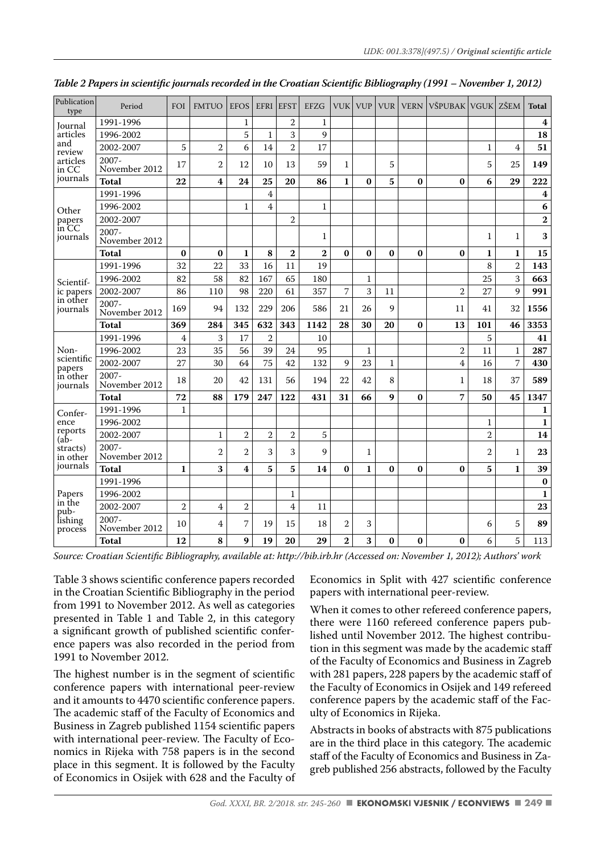| Publication<br>type  | Period                    | FOI            | <b>FMTUO</b>            | <b>EFOS</b>    | EFRI           | <b>EFST</b>    | EFZG           | VUK            | <b>VUP</b>   | <b>VUR</b>   | <b>VERN</b> | VŠPUBAK   VGUK   ZŠEM |                |                | <b>Total</b>     |
|----------------------|---------------------------|----------------|-------------------------|----------------|----------------|----------------|----------------|----------------|--------------|--------------|-------------|-----------------------|----------------|----------------|------------------|
| Journal              | 1991-1996                 |                |                         | $\mathbf{1}$   |                | $\overline{2}$ | $\mathbf{1}$   |                |              |              |             |                       |                |                | $\boldsymbol{4}$ |
| articles             | 1996-2002                 |                |                         | 5              | $\mathbf{1}$   | 3              | 9              |                |              |              |             |                       |                |                | 18               |
| and<br>review        | 2002-2007                 | 5              | $\overline{2}$          | 6              | 14             | $\overline{2}$ | 17             |                |              |              |             |                       | $\mathbf{1}$   | 4              | 51               |
| articles<br>in CC    | $2007 -$<br>November 2012 | 17             | 2                       | 12             | 10             | 13             | 59             | $\mathbf{1}$   |              | 5            |             |                       | 5              | 25             | 149              |
| journals             | <b>Total</b>              | 22             | $\overline{\mathbf{4}}$ | 24             | 25             | 20             | 86             | $\mathbf{1}$   | $\bf{0}$     | 5            | $\bf{0}$    | $\bf{0}$              | 6              | 29             | 222              |
|                      | 1991-1996                 |                |                         |                | $\overline{4}$ |                |                |                |              |              |             |                       |                |                | 4                |
| Other                | 1996-2002                 |                |                         | $\mathbf{1}$   | 4              |                | $\mathbf{1}$   |                |              |              |             |                       |                |                | 6                |
| papers               | 2002-2007                 |                |                         |                |                | $\overline{2}$ |                |                |              |              |             |                       |                |                | $\bf{2}$         |
| in CC<br>journals    | $2007 -$<br>November 2012 |                |                         |                |                |                | $\mathbf{1}$   |                |              |              |             |                       | $\mathbf{1}$   | $\mathbf{1}$   | 3                |
|                      | <b>Total</b>              | $\bf{0}$       | $\bf{0}$                | $\mathbf{1}$   | 8              | $\overline{2}$ | $\overline{2}$ | $\bf{0}$       | $\bf{0}$     | $\bf{0}$     | $\bf{0}$    | $\bf{0}$              | $\mathbf{1}$   | $\mathbf{1}$   | 15               |
|                      | 1991-1996                 | 32             | 22                      | 33             | 16             | 11             | 19             |                |              |              |             |                       | 8              | $\overline{2}$ | 143              |
| Scientif-            | 1996-2002                 | 82             | 58                      | 82             | 167            | 65             | 180            |                | $\mathbf{1}$ |              |             |                       | 25             | 3              | 663              |
| ic papers            | 2002-2007                 | 86             | 110                     | 98             | 220            | 61             | 357            | 7              | 3            | 11           |             | $\overline{2}$        | 27             | 9              | 991              |
| in other<br>journals | 2007-<br>November 2012    | 169            | 94                      | 132            | 229            | 206            | 586            | 21             | 26           | 9            |             | 11                    | 41             | 32             | 1556             |
|                      | <b>Total</b>              | 369            | 284                     | 345            | 632            | 343            | 1142           | 28             | 30           | 20           | $\bf{0}$    | 13                    | 101            | 46             | 3353             |
|                      | 1991-1996                 | $\overline{4}$ | 3                       | 17             | $\overline{2}$ |                | 10             |                |              |              |             |                       | 5              |                | 41               |
| Non-                 | 1996-2002                 | 23             | 35                      | 56             | 39             | 24             | 95             |                | $\mathbf{1}$ |              |             | $\overline{2}$        | 11             | $\mathbf{1}$   | 287              |
| scientific<br>papers | 2002-2007                 | 27             | 30                      | 64             | 75             | 42             | 132            | 9              | 23           | $\mathbf{1}$ |             | $\overline{4}$        | 16             | $\overline{7}$ | 430              |
| in other<br>journals | $2007 -$<br>November 2012 | 18             | 20                      | 42             | 131            | 56             | 194            | 22             | 42           | 8            |             | 1                     | 18             | 37             | 589              |
|                      | <b>Total</b>              | 72             | 88                      | 179            | 247            | 122            | 431            | 31             | 66           | 9            | $\bf{0}$    | 7                     | 50             | 45             | 1347             |
| Confer-              | 1991-1996                 | $\mathbf{1}$   |                         |                |                |                |                |                |              |              |             |                       |                |                | 1                |
| ence                 | 1996-2002                 |                |                         |                |                |                |                |                |              |              |             |                       | $\mathbf{1}$   |                | $\mathbf{1}$     |
| reports<br>(ab-      | 2002-2007                 |                | $\mathbf{1}$            | $\overline{2}$ | $\overline{2}$ | $\overline{2}$ | 5              |                |              |              |             |                       | $\overline{2}$ |                | 14               |
| stracts)<br>in other | $2007 -$<br>November 2012 |                | $\overline{2}$          | $\overline{2}$ | 3              | 3              | 9              |                | $\mathbf{1}$ |              |             |                       | 2              | $\mathbf{1}$   | 23               |
| journals             | <b>Total</b>              | $\mathbf{1}$   | 3                       | 4              | 5              | 5              | 14             | $\bf{0}$       | $\mathbf{1}$ | $\bf{0}$     | $\bf{0}$    | $\bf{0}$              | 5              | $\mathbf{1}$   | 39               |
|                      | 1991-1996                 |                |                         |                |                |                |                |                |              |              |             |                       |                |                | $\bf{0}$         |
| Papers               | 1996-2002                 |                |                         |                |                | $\mathbf{1}$   |                |                |              |              |             |                       |                |                | $\mathbf{1}$     |
| in the<br>pub-       | 2002-2007                 | $\overline{2}$ | 4                       | $\overline{2}$ |                | 4              | 11             |                |              |              |             |                       |                |                | 23               |
| lishing<br>process   | $2007 -$<br>November 2012 | 10             | 4                       | 7              | 19             | 15             | 18             | $\overline{2}$ | 3            |              |             |                       | 6              | 5              | 89               |
|                      | Total                     | 12             | 8                       | 9              | 19             | 20             | 29             | $\overline{2}$ | 3            | $\bf{0}$     | $\bf{0}$    | $\bf{0}$              | 6              | 5              | 113              |

*Table 2 Papers in scientifi c journals recorded in the Croatian Scientifi c Bibliography (1991 – November 1, 2012)*

Table 3 shows scientific conference papers recorded in the Croatian Scientific Bibliography in the period from 1991 to November 2012. As well as categories presented in Table 1 and Table 2, in this category a significant growth of published scientific conference papers was also recorded in the period from 1991 to November 2012.

The highest number is in the segment of scientific conference papers with international peer-review and it amounts to 4470 scientific conference papers. The academic staff of the Faculty of Economics and Business in Zagreb published 1154 scientific papers with international peer-review. The Faculty of Economics in Rijeka with 758 papers is in the second place in this segment. It is followed by the Faculty of Economics in Osijek with 628 and the Faculty of Economics in Split with 427 scientific conference papers with international peer-review.

When it comes to other refereed conference papers, there were 1160 refereed conference papers published until November 2012. The highest contribution in this segment was made by the academic staff of the Faculty of Economics and Business in Zagreb with 281 papers, 228 papers by the academic staff of the Faculty of Economics in Osijek and 149 refereed conference papers by the academic staff of the Faculty of Economics in Rijeka.

Abstracts in books of abstracts with 875 publications are in the third place in this category. The academic staff of the Faculty of Economics and Business in Zagreb published 256 abstracts, followed by the Faculty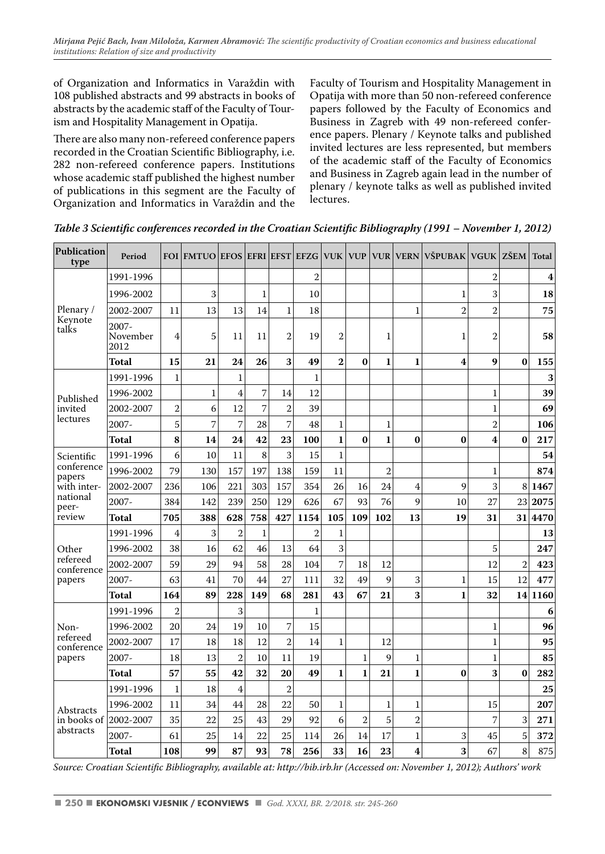of Organization and Informatics in Varaždin with 108 published abstracts and 99 abstracts in books of abstracts by the academic staff of the Faculty of Tourism and Hospitality Management in Opatija.

There are also many non-refereed conference papers recorded in the Croatian Scientific Bibliography, i.e. 282 non-refereed conference papers. Institutions whose academic staff published the highest number of publications in this segment are the Faculty of Organization and Informatics in Varaždin and the Faculty of Tourism and Hospitality Management in Opatija with more than 50 non-refereed conference papers followed by the Faculty of Economics and Business in Zagreb with 49 non-refereed conference papers. Plenary / Keynote talks and published invited lectures are less represented, but members of the academic staff of the Faculty of Economics and Business in Zagreb again lead in the number of plenary / keynote talks as well as published invited lectures.

| Publication<br>type    | Period                    | <b>FOI</b>     | <b>FMTUO EFOS EFRI EFST EFZG</b> |                |                |                |                | <b>VUK VUP</b> |                | <b>VUR</b>     | <b>VERN</b>    | <b>VŠPUBAK</b>          | VGUK ZŠEM      |                | <b>Total</b> |
|------------------------|---------------------------|----------------|----------------------------------|----------------|----------------|----------------|----------------|----------------|----------------|----------------|----------------|-------------------------|----------------|----------------|--------------|
|                        | 1991-1996                 |                |                                  |                |                |                | $\overline{2}$ |                |                |                |                |                         | $\overline{2}$ |                | 4            |
|                        | 1996-2002                 |                | 3                                |                | $\mathbf{1}$   |                | 10             |                |                |                |                | 1                       | 3              |                | 18           |
| Plenary/               | 2002-2007                 | 11             | 13                               | 13             | 14             | 1              | 18             |                |                |                | $\mathbf{1}$   | $\overline{2}$          | $\overline{2}$ |                | 75           |
| Keynote<br>talks       | 2007-<br>November<br>2012 | 4              | 5                                | 11             | 11             | 2              | 19             | $\overline{2}$ |                | $\mathbf{1}$   |                | $\mathbf 1$             | $\overline{2}$ |                | 58           |
|                        | Total                     | 15             | 21                               | 24             | 26             | 3              | 49             | $\overline{2}$ | $\bf{0}$       | $\mathbf{1}$   | 1              | $\overline{\mathbf{4}}$ | 9              | $\bf{0}$       | 155          |
|                        | 1991-1996                 | $\mathbf{1}$   |                                  | $\mathbf{1}$   |                |                | $\mathbf{1}$   |                |                |                |                |                         |                |                | 3            |
| Published              | 1996-2002                 |                | 1                                | $\overline{4}$ | $\overline{7}$ | 14             | 12             |                |                |                |                |                         | $\mathbf{1}$   |                | 39           |
| invited                | 2002-2007                 | $\overline{2}$ | 6                                | 12             | 7              | $\overline{2}$ | 39             |                |                |                |                |                         | $\mathbf{1}$   |                | 69           |
| lectures               | $2007 -$                  | 5              | 7                                | 7              | 28             | $\overline{7}$ | 48             | $\mathbf{1}$   |                | $\mathbf{1}$   |                |                         | $\overline{2}$ |                | 106          |
|                        | Total                     | 8              | 14                               | 24             | 42             | 23             | 100            | $\mathbf{1}$   | $\bf{0}$       | 1              | $\bf{0}$       | $\bf{0}$                | 4              | $\bf{0}$       | 217          |
| Scientific             | 1991-1996                 | 6              | 10                               | 11             | 8              | 3              | 15             | $\mathbf{1}$   |                |                |                |                         |                |                | 54           |
| conference<br>papers   | 1996-2002                 | 79             | 130                              | 157            | 197            | 138            | 159            | 11             |                | $\overline{2}$ |                |                         | $\mathbf{1}$   |                | 874          |
| with inter-            | 2002-2007                 | 236            | 106                              | 221            | 303            | 157            | 354            | 26             | 16             | 24             | 4              | 9                       | 3              | 8              | 1467         |
| national<br>peer-      | $2007 -$                  | 384            | 142                              | 239            | 250            | 129            | 626            | 67             | 93             | 76             | 9              | 10                      | 27             | 23             | 2075         |
| review                 | Total                     | 705            | 388                              | 628            | 758            | 427            | 1154           | 105            | 109            | 102            | 13             | 19                      | 31             | 31             | 4470         |
|                        | 1991-1996                 | 4              | 3                                | $\overline{2}$ | $\mathbf{1}$   |                | $\overline{2}$ | $\mathbf{1}$   |                |                |                |                         |                |                | 13           |
| Other                  | 1996-2002                 | 38             | 16                               | 62             | 46             | 13             | 64             | 3              |                |                |                |                         | 5              |                | 247          |
| refereed<br>conference | 2002-2007                 | 59             | 29                               | 94             | 58             | 28             | 104            | $\overline{7}$ | 18             | 12             |                |                         | 12             | $\overline{2}$ | 423          |
| papers                 | 2007-                     | 63             | 41                               | 70             | 44             | 27             | 111            | 32             | 49             | 9              | 3              | 1                       | 15             | 12             | 477          |
|                        | Total                     | 164            | 89                               | 228            | 149            | 68             | 281            | 43             | 67             | 21             | 3              | $\mathbf{1}$            | 32             | 14             | 1160         |
|                        | 1991-1996                 | $\overline{2}$ |                                  | 3              |                |                | $\mathbf{1}$   |                |                |                |                |                         |                |                | 6            |
| Non-                   | 1996-2002                 | 20             | 24                               | 19             | 10             | 7              | 15             |                |                |                |                |                         | 1              |                | 96           |
| refereed<br>conference | 2002-2007                 | 17             | 18                               | 18             | 12             | $\overline{2}$ | 14             | 1              |                | 12             |                |                         | $\mathbf{1}$   |                | 95           |
| papers                 | $2007 -$                  | 18             | 13                               | $\overline{2}$ | 10             | 11             | 19             |                | $\mathbf{1}$   | 9              | $\mathbf{1}$   |                         | $\mathbf{1}$   |                | 85           |
|                        | Total                     | 57             | 55                               | 42             | 32             | 20             | 49             | $\mathbf{1}$   | $\mathbf{1}$   | 21             | 1              | $\bf{0}$                | 3              | $\bf{0}$       | 282          |
|                        | 1991-1996                 | $\mathbf{1}$   | 18                               | 4              |                | $\overline{2}$ |                |                |                |                |                |                         |                |                | 25           |
| Abstracts              | 1996-2002                 | 11             | 34                               | 44             | 28             | 22             | 50             | $\mathbf{1}$   |                | $\mathbf{1}$   | $\mathbf{1}$   |                         | 15             |                | 207          |
| in books of            | 2002-2007                 | 35             | 22                               | 25             | 43             | 29             | 92             | 6              | $\overline{2}$ | 5              | $\overline{2}$ |                         | 7              | 3              | 271          |
| abstracts              | $2007 -$                  | 61             | 25                               | 14             | 22             | 25             | 114            | 26             | 14             | 17             | $\mathbf{1}$   | 3                       | 45             | 5              | 372          |
|                        | Total                     | 108            | 99                               | 87             | 93             | 78             | 256            | 33             | 16             | 23             | 4              | 3                       | 67             | 8              | 875          |

*Table 3 Scientific conferences recorded in the Croatian Scientific Bibliography (1991 – November 1, 2012)* 

*Source: Croatian Scientifi c Bibliography, available at: http://bib.irb.hr (Accessed on: November 1, 2012); Authors' work*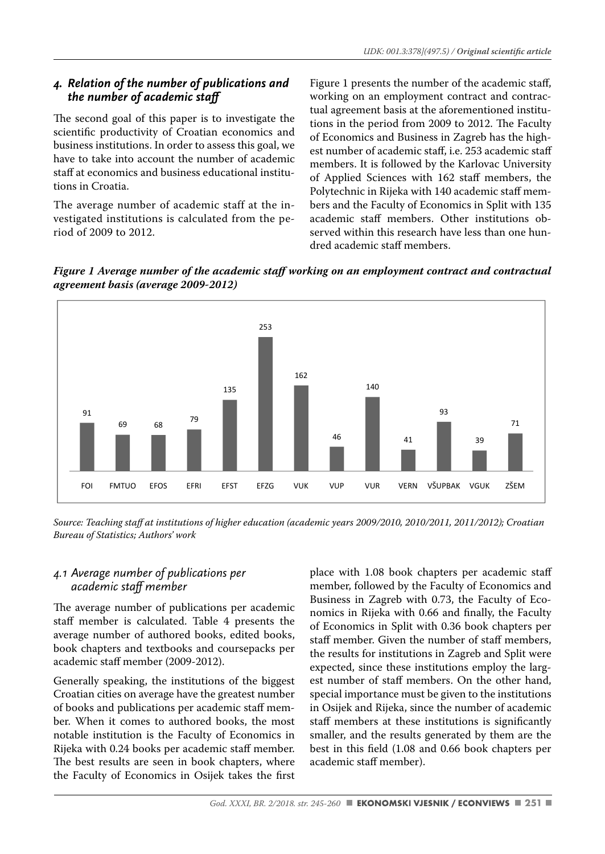#### *4. Relation of the number of publications and the number of academic staff*

The second goal of this paper is to investigate the scientific productivity of Croatian economics and business institutions. In order to assess this goal, we have to take into account the number of academic staff at economics and business educational institutions in Croatia.

The average number of academic staff at the investigated institutions is calculated from the period of 2009 to 2012.

Figure 1 presents the number of the academic staff, working on an employment contract and contractual agreement basis at the aforementioned institutions in the period from 2009 to 2012. The Faculty of Economics and Business in Zagreb has the highest number of academic staff, i.e. 253 academic staff members. It is followed by the Karlovac University of Applied Sciences with 162 staff members, the Polytechnic in Rijeka with 140 academic staff members and the Faculty of Economics in Split with 135 academic staff members. Other institutions observed within this research have less than one hundred academic staff members.





*Source: Teaching staff at institutions of higher education (academic years 2009/2010, 2010/2011, 2011/2012); Croatian Bureau of Statistics; Authors' work*

#### *4.1 Average number of publications per academic staff member*

The average number of publications per academic staff member is calculated. Table 4 presents the average number of authored books, edited books, book chapters and textbooks and coursepacks per academic staff member (2009-2012).

Generally speaking, the institutions of the biggest Croatian cities on average have the greatest number of books and publications per academic staff member. When it comes to authored books, the most notable institution is the Faculty of Economics in Rijeka with 0.24 books per academic staff member. The best results are seen in book chapters, where the Faculty of Economics in Osijek takes the first place with 1.08 book chapters per academic staff member, followed by the Faculty of Economics and Business in Zagreb with 0.73, the Faculty of Economics in Rijeka with 0.66 and finally, the Faculty of Economics in Split with 0.36 book chapters per staff member. Given the number of staff members, the results for institutions in Zagreb and Split were expected, since these institutions employ the largest number of staff members. On the other hand, special importance must be given to the institutions in Osijek and Rijeka, since the number of academic staff members at these institutions is significantly smaller, and the results generated by them are the best in this field (1.08 and 0.66 book chapters per academic staff member).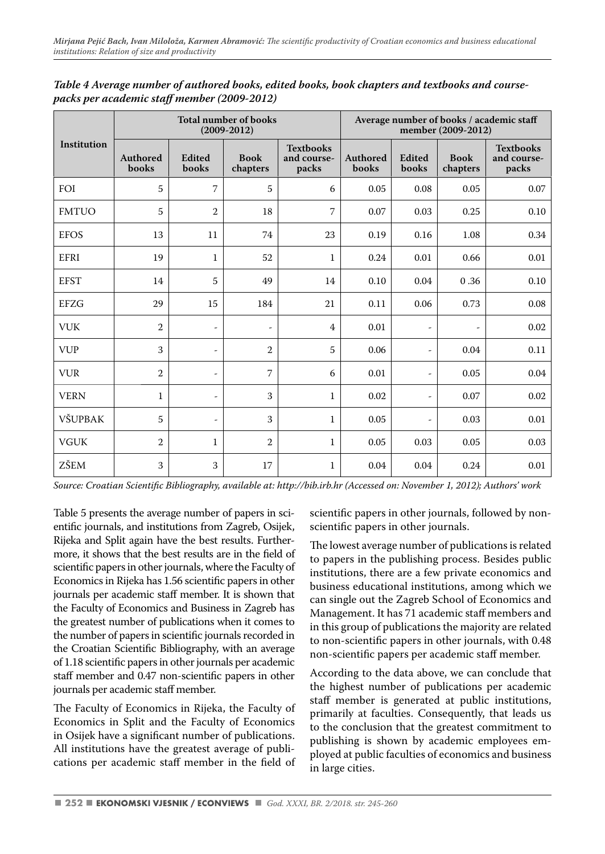|              |                   |                          | <b>Total number of books</b><br>$(2009 - 2012)$ |                                          | Average number of books / academic staff<br>member (2009-2012) |                          |                         |                                          |  |  |  |
|--------------|-------------------|--------------------------|-------------------------------------------------|------------------------------------------|----------------------------------------------------------------|--------------------------|-------------------------|------------------------------------------|--|--|--|
| Institution  | Authored<br>books | Edited<br>books          | <b>Book</b><br>chapters                         | <b>Textbooks</b><br>and course-<br>packs | Authored<br>books                                              | Edited<br>books          | <b>Book</b><br>chapters | <b>Textbooks</b><br>and course-<br>packs |  |  |  |
| FOI          | 5                 | $\overline{7}$           | 5                                               | 6                                        | 0.05                                                           | 0.08                     | 0.05                    | 0.07                                     |  |  |  |
| <b>FMTUO</b> | 5                 | $\overline{2}$           | 18                                              | 7                                        | 0.07                                                           | 0.03                     | 0.25                    | 0.10                                     |  |  |  |
| <b>EFOS</b>  | 13                | 11                       | 74                                              | 23                                       | 0.19                                                           | 0.16                     | 1.08                    | 0.34                                     |  |  |  |
| EFRI         | 19                | $\mathbf{1}$             | 52                                              | $\mathbf{1}$                             | 0.24                                                           | 0.01                     | 0.66                    | 0.01                                     |  |  |  |
| <b>EFST</b>  | 14                | 5                        | 49                                              | 14                                       | 0.10                                                           | 0.04                     | 0.36                    | 0.10                                     |  |  |  |
| <b>EFZG</b>  | 29                | 15                       | 184                                             | 21                                       | 0.11                                                           | 0.06                     | 0.73                    | 0.08                                     |  |  |  |
| <b>VUK</b>   | $\overline{2}$    | $\overline{\phantom{m}}$ | $\overline{a}$                                  | 4                                        | 0.01                                                           | ٠                        |                         | 0.02                                     |  |  |  |
| <b>VUP</b>   | 3                 | $\overline{\phantom{m}}$ | $\overline{2}$                                  | 5                                        | 0.06                                                           | $\overline{a}$           | 0.04                    | 0.11                                     |  |  |  |
| <b>VUR</b>   | $\overline{2}$    | $\overline{\phantom{m}}$ | 7                                               | 6                                        | 0.01                                                           | $\overline{a}$           | 0.05                    | 0.04                                     |  |  |  |
| <b>VERN</b>  | $\mathbf{1}$      | $\overline{\phantom{m}}$ | 3                                               | $\mathbf{1}$                             | 0.02                                                           | $\overline{\phantom{a}}$ | 0.07                    | 0.02                                     |  |  |  |
| VŠUPBAK      | 5                 | $\overline{\phantom{m}}$ | 3                                               | 1                                        | 0.05                                                           | $\overline{a}$           | 0.03                    | 0.01                                     |  |  |  |
| <b>VGUK</b>  | $\overline{2}$    | $\mathbf{1}$             | $\overline{2}$                                  | $\mathbf{1}$                             | 0.05                                                           | 0.03                     | 0.05                    | 0.03                                     |  |  |  |
| ZŠEM         | 3                 | 3                        | 17                                              | $\mathbf{1}$                             | 0.04                                                           | 0.04                     | 0.24                    | 0.01                                     |  |  |  |

*Table 4 Average number of authored books, edited books, book chapters and textbooks and coursepacks per academic staff member (2009-2012)*

Table 5 presents the average number of papers in scientific journals, and institutions from Zagreb, Osijek, Rijeka and Split again have the best results. Furthermore, it shows that the best results are in the field of scientific papers in other journals, where the Faculty of Economics in Rijeka has 1.56 scientific papers in other journals per academic staff member. It is shown that the Faculty of Economics and Business in Zagreb has the greatest number of publications when it comes to the number of papers in scientific journals recorded in the Croatian Scientific Bibliography, with an average of 1.18 scientific papers in other journals per academic staff member and 0.47 non-scientific papers in other journals per academic staff member.

The Faculty of Economics in Rijeka, the Faculty of Economics in Split and the Faculty of Economics in Osijek have a significant number of publications. All institutions have the greatest average of publications per academic staff member in the field of scientific papers in other journals, followed by nonscientific papers in other journals.

The lowest average number of publications is related to papers in the publishing process. Besides public institutions, there are a few private economics and business educational institutions, among which we can single out the Zagreb School of Economics and Management. It has 71 academic staff members and in this group of publications the majority are related to non-scientific papers in other journals, with 0.48 non-scientific papers per academic staff member.

According to the data above, we can conclude that the highest number of publications per academic staff member is generated at public institutions, primarily at faculties. Consequently, that leads us to the conclusion that the greatest commitment to publishing is shown by academic employees employed at public faculties of economics and business in large cities.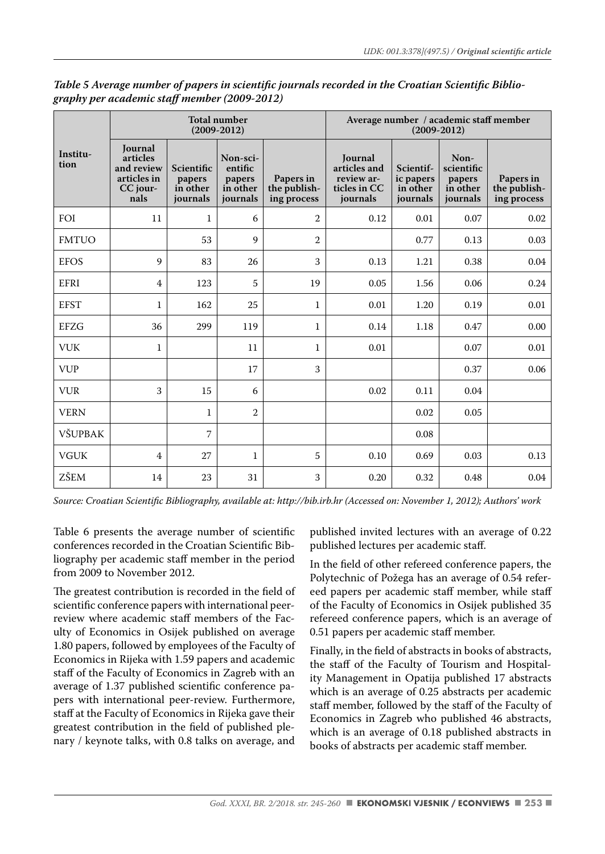|                  |                                                                      |                                              | <b>Total number</b><br>$(2009 - 2012)$                |                                          | Average number / academic staff member<br>$(2009 - 2012)$         |                                                |                                                      |                                          |  |  |  |
|------------------|----------------------------------------------------------------------|----------------------------------------------|-------------------------------------------------------|------------------------------------------|-------------------------------------------------------------------|------------------------------------------------|------------------------------------------------------|------------------------------------------|--|--|--|
| Institu-<br>tion | Journal<br>articles<br>and review<br>articles in<br>CC jour-<br>nals | Scientific<br>papers<br>in other<br>journals | Non-sci-<br>entific<br>papers<br>in other<br>journals | Papers in<br>the publish-<br>ing process | Journal<br>articles and<br>review ar-<br>ticles in CC<br>journals | Scientif-<br>ic papers<br>in other<br>journals | Non-<br>scientific<br>papers<br>in other<br>journals | Papers in<br>the publish-<br>ing process |  |  |  |
| FOI              | 11                                                                   | $\mathbf{1}$                                 | 6                                                     | $\overline{2}$                           | 0.12                                                              | 0.01                                           | 0.07                                                 | 0.02                                     |  |  |  |
| <b>FMTUO</b>     |                                                                      | 53                                           | 9                                                     | $\overline{2}$                           |                                                                   | 0.77                                           | 0.13                                                 | 0.03                                     |  |  |  |
| <b>EFOS</b>      | 9                                                                    | 83                                           | 26                                                    | 3                                        | 0.13                                                              | 1.21                                           | 0.38                                                 | 0.04                                     |  |  |  |
| EFRI             | 4                                                                    | 123                                          | 5                                                     | 19                                       | 0.05                                                              | 1.56                                           | 0.06                                                 | 0.24                                     |  |  |  |
| <b>EFST</b>      | $\mathbf{1}$                                                         | 162                                          | 25                                                    | $\mathbf{1}$                             | 0.01                                                              | 1.20                                           | 0.19                                                 | 0.01                                     |  |  |  |
| EFZG             | 36                                                                   | 299                                          | 119                                                   | $\mathbf{1}$                             | 0.14                                                              | 1.18                                           | 0.47                                                 | 0.00                                     |  |  |  |
| <b>VUK</b>       | $\mathbf{1}$                                                         |                                              | 11                                                    | $\mathbf{1}$                             | 0.01                                                              |                                                | 0.07                                                 | 0.01                                     |  |  |  |
| <b>VUP</b>       |                                                                      |                                              | 17                                                    | 3                                        |                                                                   |                                                | 0.37                                                 | 0.06                                     |  |  |  |
| <b>VUR</b>       | 3                                                                    | 15                                           | 6                                                     |                                          | 0.02                                                              | 0.11                                           | 0.04                                                 |                                          |  |  |  |
| <b>VERN</b>      |                                                                      | $\mathbf{1}$                                 | 2                                                     |                                          |                                                                   | 0.02                                           | 0.05                                                 |                                          |  |  |  |
| VŠUPBAK          |                                                                      | 7                                            |                                                       |                                          |                                                                   | 0.08                                           |                                                      |                                          |  |  |  |
| <b>VGUK</b>      | 4                                                                    | 27                                           | $\mathbf{1}$                                          | 5                                        | 0.10                                                              | 0.69                                           | 0.03                                                 | 0.13                                     |  |  |  |
| ZŠEM             | 14                                                                   | 23                                           | 31                                                    | 3                                        | 0.20                                                              | 0.32                                           | 0.48                                                 | 0.04                                     |  |  |  |

Table 5 Average number of papers in scientific journals recorded in the Croatian Scientific Biblio*graphy per academic staff member (2009-2012)*

Table 6 presents the average number of scientific conferences recorded in the Croatian Scientific Bibliography per academic staff member in the period from 2009 to November 2012.

The greatest contribution is recorded in the field of scientific conference papers with international peerreview where academic staff members of the Faculty of Economics in Osijek published on average 1.80 papers, followed by employees of the Faculty of Economics in Rijeka with 1.59 papers and academic staff of the Faculty of Economics in Zagreb with an average of 1.37 published scientific conference papers with international peer-review. Furthermore, staff at the Faculty of Economics in Rijeka gave their greatest contribution in the field of published plenary / keynote talks, with 0.8 talks on average, and

published invited lectures with an average of 0.22 published lectures per academic staff.

In the field of other refereed conference papers, the Polytechnic of Požega has an average of 0.54 refereed papers per academic staff member, while staff of the Faculty of Economics in Osijek published 35 refereed conference papers, which is an average of 0.51 papers per academic staff member.

Finally, in the field of abstracts in books of abstracts, the staff of the Faculty of Tourism and Hospitality Management in Opatija published 17 abstracts which is an average of 0.25 abstracts per academic staff member, followed by the staff of the Faculty of Economics in Zagreb who published 46 abstracts, which is an average of 0.18 published abstracts in books of abstracts per academic staff member.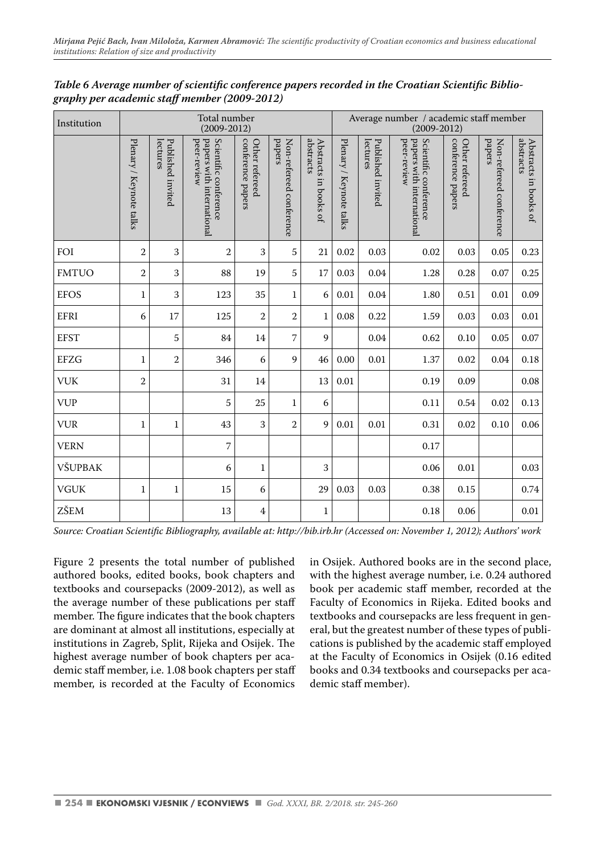| Institution  |                         |                               | Total number<br>$(2009 - 2012)$                                   |                                     |                                   | Average number / academic staff member<br>$(2009 - 2012)$ |                         |                               |                                                                   |                                     |                                   |                                    |
|--------------|-------------------------|-------------------------------|-------------------------------------------------------------------|-------------------------------------|-----------------------------------|-----------------------------------------------------------|-------------------------|-------------------------------|-------------------------------------------------------------------|-------------------------------------|-----------------------------------|------------------------------------|
|              | Plenary / Keynote talks | Published invited<br>lectures | papers with international<br>Scientific conference<br>peer-review | conference papers<br>Other refereed | papers<br>Non-refereed conference | abstracts<br>Abstracts in books of                        | Plenary / Keynote talks | Published invited<br>lectures | papers with international<br>Scientific conference<br>peer-review | conterence papers<br>Other refereed | papers<br>Non-refereed conference | abstracts<br>Abstracts in books of |
| FOI          | $\mathbf{2}$            | 3                             | $\overline{2}$                                                    | 3                                   | 5                                 | 21                                                        | 0.02                    | 0.03                          | 0.02                                                              | 0.03                                | 0.05                              | 0.23                               |
| <b>FMTUO</b> | $\mathbf{2}$            | 3                             | 88                                                                | 19                                  | 5                                 | 17                                                        | 0.03                    | 0.04                          | 1.28                                                              | 0.28                                | 0.07                              | 0.25                               |
| <b>EFOS</b>  | $\mathbf{1}$            | 3                             | 123                                                               | 35                                  | 1                                 | 6                                                         | 0.01                    | 0.04                          | 1.80                                                              | 0.51                                | 0.01                              | 0.09                               |
| EFRI         | 6                       | 17                            | 125                                                               | $\overline{2}$                      | 2                                 | $\mathbf 1$                                               | 0.08                    | 0.22                          | 1.59                                                              | 0.03                                | 0.03                              | 0.01                               |
| <b>EFST</b>  |                         | 5                             | 84                                                                | 14                                  | 7                                 | 9                                                         |                         | 0.04                          | 0.62                                                              | 0.10                                | 0.05                              | 0.07                               |
| <b>EFZG</b>  | $\mathbf{1}$            | $\overline{2}$                | 346                                                               | 6                                   | 9                                 | 46                                                        | 0.00                    | 0.01                          | 1.37                                                              | 0.02                                | 0.04                              | 0.18                               |
| <b>VUK</b>   | $\overline{2}$          |                               | 31                                                                | 14                                  |                                   | 13                                                        | 0.01                    |                               | 0.19                                                              | 0.09                                |                                   | 0.08                               |
| <b>VUP</b>   |                         |                               | 5                                                                 | 25                                  | $\mathbf{1}$                      | 6                                                         |                         |                               | 0.11                                                              | 0.54                                | 0.02                              | 0.13                               |
| <b>VUR</b>   | $\mathbf{1}$            | $\mathbf{1}$                  | 43                                                                | 3                                   | $\overline{2}$                    | 9                                                         | 0.01                    | 0.01                          | 0.31                                                              | 0.02                                | 0.10                              | 0.06                               |
| <b>VERN</b>  |                         |                               | 7                                                                 |                                     |                                   |                                                           |                         |                               | 0.17                                                              |                                     |                                   |                                    |
| VŠUPBAK      |                         |                               | 6                                                                 | $\mathbf{1}$                        |                                   | 3                                                         |                         |                               | 0.06                                                              | 0.01                                |                                   | 0.03                               |
| <b>VGUK</b>  | $\mathbf{1}$            | $\mathbf{1}$                  | 15                                                                | 6                                   |                                   | 29                                                        | 0.03                    | 0.03                          | 0.38                                                              | 0.15                                |                                   | 0.74                               |
| ZŠEM         |                         |                               | 13                                                                | $\overline{4}$                      |                                   | 1                                                         |                         |                               | 0.18                                                              | 0.06                                |                                   | 0.01                               |

Table 6 Average number of scientific conference papers recorded in the Croatian Scientific Biblio*graphy per academic staff member (2009-2012)*

Figure 2 presents the total number of published authored books, edited books, book chapters and textbooks and coursepacks (2009-2012), as well as the average number of these publications per staff member. The figure indicates that the book chapters are dominant at almost all institutions, especially at institutions in Zagreb, Split, Rijeka and Osijek. The highest average number of book chapters per academic staff member, i.e. 1.08 book chapters per staff member, is recorded at the Faculty of Economics in Osijek. Authored books are in the second place, with the highest average number, i.e. 0.24 authored book per academic staff member, recorded at the Faculty of Economics in Rijeka. Edited books and textbooks and coursepacks are less frequent in general, but the greatest number of these types of publications is published by the academic staff employed at the Faculty of Economics in Osijek (0.16 edited books and 0.34 textbooks and coursepacks per academic staff member).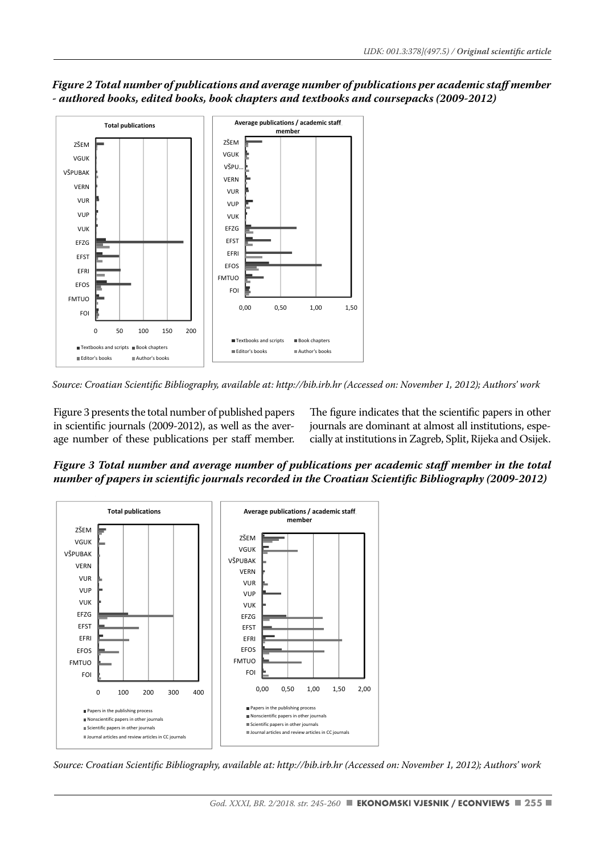

*Figure 2 Total number of publications and average number of publications per academic staff member - authored books, edited books, book chapters and textbooks and coursepacks (2009-2012)*

*Source: Croatian Scientifi c Bibliography, available at: http://bib.irb.hr (Accessed on: November 1, 2012); Authors' work*

Figure 3 presents the total number of published papers in scientific journals (2009-2012), as well as the average number of these publications per staff member.

The figure indicates that the scientific papers in other journals are dominant at almost all institutions, especially at institutions in Zagreb, Split, Rijeka and Osijek.

*Figure 3 Total number and average number of publications per academic staff member in the total number of papers in scientific journals recorded in the Croatian Scientific Bibliography (2009-2012)* 



*Source: Croatian Scientifi c Bibliography, available at: http://bib.irb.hr (Accessed on: November 1, 2012); Authors' work*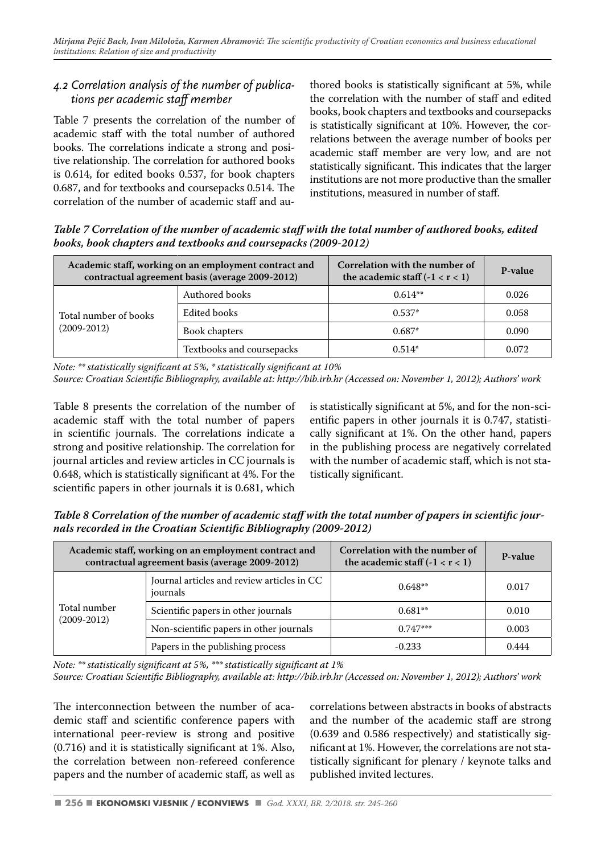#### *4.2 Correlation analysis of the number of publications per academic staff member*

Table 7 presents the correlation of the number of academic staff with the total number of authored books. The correlations indicate a strong and positive relationship. The correlation for authored books is 0.614, for edited books 0.537, for book chapters 0.687, and for textbooks and coursepacks 0.514. The correlation of the number of academic staff and authored books is statistically significant at 5%, while the correlation with the number of staff and edited books, book chapters and textbooks and coursepacks is statistically significant at 10%. However, the correlations between the average number of books per academic staff member are very low, and are not statistically significant. This indicates that the larger institutions are not more productive than the smaller institutions, measured in number of staff.

*Table 7 Correlation of the number of academic staff with the total number of authored books, edited books, book chapters and textbooks and coursepacks (2009-2012)*

|                       | Academic staff, working on an employment contract and<br>contractual agreement basis (average 2009-2012) | Correlation with the number of<br>the academic staff $(-1 < r < 1)$ | P-value |
|-----------------------|----------------------------------------------------------------------------------------------------------|---------------------------------------------------------------------|---------|
|                       | Authored books                                                                                           | $0.614**$                                                           | 0.026   |
| Total number of books | Edited books                                                                                             | $0.537*$                                                            | 0.058   |
| $(2009 - 2012)$       | Book chapters                                                                                            | $0.687*$                                                            | 0.090   |
|                       | Textbooks and coursepacks                                                                                | $0.514*$                                                            | 0.072   |

*Note: \*\* statistically significant at 5%, \* statistically significant at 10%* 

*Source: Croatian Scientifi c Bibliography, available at: http://bib.irb.hr (Accessed on: November 1, 2012); Authors' work*

Table 8 presents the correlation of the number of academic staff with the total number of papers in scientific journals. The correlations indicate a strong and positive relationship. The correlation for journal articles and review articles in CC journals is 0.648, which is statistically significant at 4%. For the scientific papers in other journals it is 0.681, which is statistically significant at 5%, and for the non-scientific papers in other journals it is 0.747, statistically significant at 1%. On the other hand, papers in the publishing process are negatively correlated with the number of academic staff, which is not statistically significant.

Table 8 Correlation of the number of academic staff with the total number of papers in scientific jour*nals recorded in the Croatian Scientific Bibliography (2009-2012)* 

|                 | Academic staff, working on an employment contract and<br>contractual agreement basis (average 2009-2012) | Correlation with the number of<br>the academic staff $(-1 < r < 1)$ | P-value |
|-----------------|----------------------------------------------------------------------------------------------------------|---------------------------------------------------------------------|---------|
|                 | Journal articles and review articles in CC<br>journals                                                   | $0.648**$                                                           | 0.017   |
| Total number    | Scientific papers in other journals                                                                      | $0.681**$                                                           | 0.010   |
| $(2009 - 2012)$ | Non-scientific papers in other journals                                                                  | $0.747***$                                                          | 0.003   |
|                 | Papers in the publishing process                                                                         | $-0.233$                                                            | 0.444   |

*Note: \*\* statistically significant at 5%, \*\*\* statistically significant at 1%* 

*Source: Croatian Scientifi c Bibliography, available at: http://bib.irb.hr (Accessed on: November 1, 2012); Authors' work*

The interconnection between the number of academic staff and scientific conference papers with international peer-review is strong and positive  $(0.716)$  and it is statistically significant at 1%. Also, the correlation between non-refereed conference papers and the number of academic staff, as well as

correlations between abstracts in books of abstracts and the number of the academic staff are strong (0.639 and 0.586 respectively) and statistically significant at 1%. However, the correlations are not statistically significant for plenary / keynote talks and published invited lectures.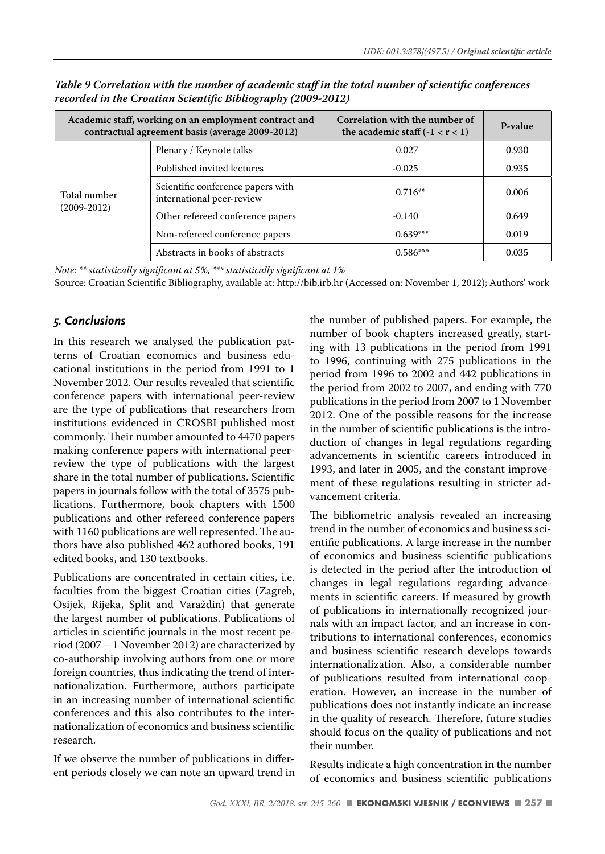|                 | Academic staff, working on an employment contract and<br>contractual agreement basis (average 2009-2012) | Correlation with the number of<br>the academic staff $(-1 < r < 1)$ | P-value |
|-----------------|----------------------------------------------------------------------------------------------------------|---------------------------------------------------------------------|---------|
|                 | Plenary / Keynote talks                                                                                  | 0.027                                                               | 0.930   |
|                 | Published invited lectures                                                                               | $-0.025$                                                            | 0.935   |
| Total number    | Scientific conference papers with<br>international peer-review                                           | $0.716**$                                                           | 0.006   |
| $(2009 - 2012)$ | Other refereed conference papers                                                                         | $-0.140$                                                            | 0.649   |
|                 | Non-refereed conference papers                                                                           | $0.639***$                                                          | 0.019   |
|                 | Abstracts in books of abstracts                                                                          | $0.586***$                                                          | 0.035   |

*Table 9 Correlation with the number of academic staff in the total number of scientific conferences recorded in the Croatian Scientific Bibliography (2009-2012)* 

*Note:* \*\* statistically significant at 5%, \*\*\* statistically significant at 1%

Source: Croatian Scientific Bibliography, available at: http://bib.irb.hr (Accessed on: November 1, 2012); Authors' work

#### *5. Conclusions*

In this research we analysed the publication patterns of Croatian economics and business educational institutions in the period from 1991 to 1 November 2012. Our results revealed that scientific conference papers with international peer-review are the type of publications that researchers from institutions evidenced in CROSBI published most commonly. Their number amounted to 4470 papers making conference papers with international peerreview the type of publications with the largest share in the total number of publications. Scientific papers in journals follow with the total of 3575 publications. Furthermore, book chapters with 1500 publications and other refereed conference papers with 1160 publications are well represented. The authors have also published 462 authored books, 191 edited books, and 130 textbooks.

Publications are concentrated in certain cities, i.e. faculties from the biggest Croatian cities (Zagreb, Osijek, Rijeka, Split and Varaždin) that generate the largest number of publications. Publications of articles in scientific journals in the most recent period (2007 – 1 November 2012) are characterized by co-authorship involving authors from one or more foreign countries, thus indicating the trend of internationalization. Furthermore, authors participate in an increasing number of international scientific conferences and this also contributes to the internationalization of economics and business scientific research.

If we observe the number of publications in different periods closely we can note an upward trend in the number of published papers. For example, the number of book chapters increased greatly, starting with 13 publications in the period from 1991 to 1996, continuing with 275 publications in the period from 1996 to 2002 and 442 publications in the period from 2002 to 2007, and ending with 770 publications in the period from 2007 to 1 November 2012. One of the possible reasons for the increase in the number of scientific publications is the introduction of changes in legal regulations regarding advancements in scientific careers introduced in 1993, and later in 2005, and the constant improvement of these regulations resulting in stricter advancement criteria.

The bibliometric analysis revealed an increasing trend in the number of economics and business scientific publications. A large increase in the number of economics and business scientific publications is detected in the period after the introduction of changes in legal regulations regarding advancements in scientific careers. If measured by growth of publications in internationally recognized journals with an impact factor, and an increase in contributions to international conferences, economics and business scientific research develops towards internationalization. Also, a considerable number of publications resulted from international cooperation. However, an increase in the number of publications does not instantly indicate an increase in the quality of research. Therefore, future studies should focus on the quality of publications and not their number.

Results indicate a high concentration in the number of economics and business scientific publications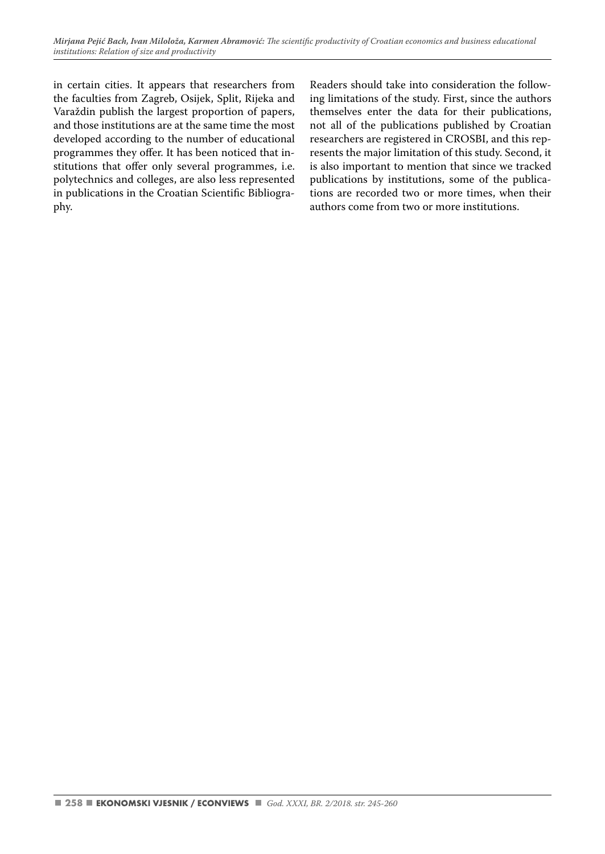in certain cities. It appears that researchers from the faculties from Zagreb, Osijek, Split, Rijeka and Varaždin publish the largest proportion of papers, and those institutions are at the same time the most developed according to the number of educational programmes they offer. It has been noticed that institutions that offer only several programmes, i.e. polytechnics and colleges, are also less represented in publications in the Croatian Scientific Bibliography.

Readers should take into consideration the following limitations of the study. First, since the authors themselves enter the data for their publications, not all of the publications published by Croatian researchers are registered in CROSBI, and this represents the major limitation of this study. Second, it is also important to mention that since we tracked publications by institutions, some of the publications are recorded two or more times, when their authors come from two or more institutions.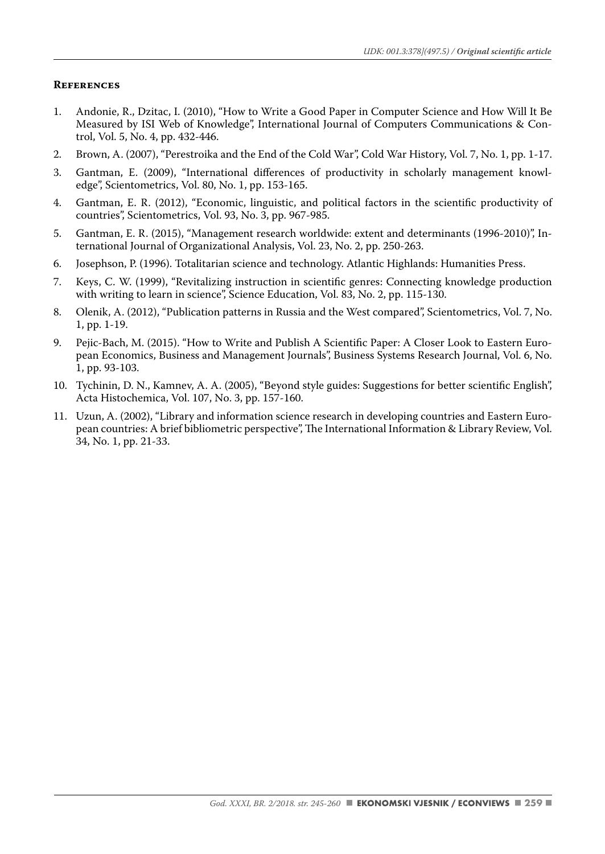#### **References**

- 1. Andonie, R., Dzitac, I. (2010), "How to Write a Good Paper in Computer Science and How Will It Be Measured by ISI Web of Knowledge", International Journal of Computers Communications & Control, Vol. 5, No. 4, pp. 432-446.
- 2. Brown, A. (2007), "Perestroika and the End of the Cold War", Cold War History, Vol. 7, No. 1, pp. 1-17.
- 3. Gantman, E. (2009), "International differences of productivity in scholarly management knowledge", Scientometrics, Vol. 80, No. 1, pp. 153-165.
- 4. Gantman, E. R. (2012), "Economic, linguistic, and political factors in the scientific productivity of countries", Scientometrics, Vol. 93, No. 3, pp. 967-985.
- 5. Gantman, E. R. (2015), "Management research worldwide: extent and determinants (1996-2010)", International Journal of Organizational Analysis, Vol. 23, No. 2, pp. 250-263.
- 6. Josephson, P. (1996). Totalitarian science and technology. Atlantic Highlands: Humanities Press.
- 7. Keys, C. W. (1999), "Revitalizing instruction in scientific genres: Connecting knowledge production with writing to learn in science", Science Education, Vol. 83, No. 2, pp. 115-130.
- 8. Olenik, A. (2012), "Publication patterns in Russia and the West compared", Scientometrics, Vol. 7, No. 1, pp. 1-19.
- 9. Pejic-Bach, M. (2015). "How to Write and Publish A Scientific Paper: A Closer Look to Eastern European Economics, Business and Management Journals", Business Systems Research Journal, Vol. 6, No. 1, pp. 93-103.
- 10. Tychinin, D. N., Kamnev, A. A. (2005), "Beyond style guides: Suggestions for better scientific English", Acta Histochemica, Vol. 107, No. 3, pp. 157-160.
- 11. Uzun, A. (2002), "Library and information science research in developing countries and Eastern European countries: A brief bibliometric perspective", The International Information & Library Review, Vol. 34, No. 1, pp. 21-33.